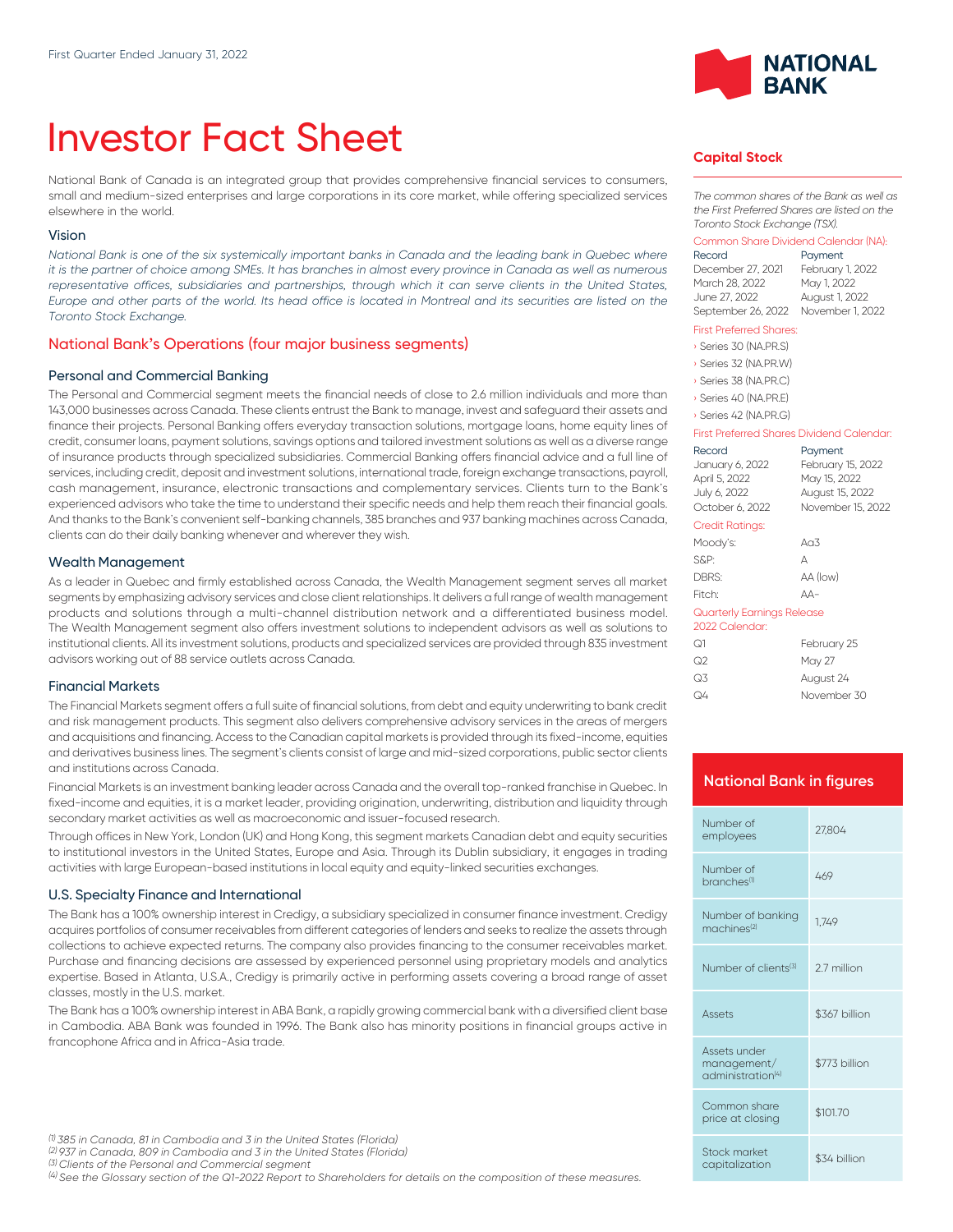# Investor Fact Sheet

National Bank of Canada is an integrated group that provides comprehensive financial services to consumers, small and medium-sized enterprises and large corporations in its core market, while offering specialized services elsewhere in the world.

#### Vision

*National Bank is one of the six systemically important banks in Canada and the leading bank in Quebec where it is the partner of choice among SMEs. It has branches in almost every province in Canada as well as numerous* representative offices, subsidiaries and partnerships, through which it can serve clients in the United States, *Europe and other parts of the world. Its head office is located in Montreal and its securities are listed on the Toronto Stock Exchange.*

#### National Bank's Operations (four major business segments)

#### Personal and Commercial Banking

The Personal and Commercial segment meets the financial needs of close to 2.6 million individuals and more than 143,000 businesses across Canada. These clients entrust the Bank to manage, invest and safeguard their assets and finance their projects. Personal Banking offers everyday transaction solutions, mortgage loans, home equity lines of credit, consumer loans, payment solutions, savings options and tailored investment solutions as well as a diverse range of insurance products through specialized subsidiaries. Commercial Banking offers financial advice and a full line of services, including credit, deposit and investment solutions, international trade, foreign exchange transactions, payroll, cash management, insurance, electronic transactions and complementary services. Clients turn to the Bank's experienced advisors who take the time to understand their specific needs and help them reach their financial goals. And thanks to the Bank's convenient self-banking channels, 385 branches and 937 banking machines across Canada, clients can do their daily banking whenever and wherever they wish.

#### Wealth Management

As a leader in Quebec and firmly established across Canada, the Wealth Management segment serves all market segments by emphasizing advisory services and close client relationships. lt delivers a full range of wealth management products and solutions through a multi-channel distribution network and a differentiated business model. The Wealth Management segment also offers investment solutions to independent advisors as well as solutions to institutional clients. All its investment solutions, products and specialized services are provided through 835 investment advisors working out of 88 service outlets across Canada.

#### Financial Markets

The Financial Markets segment offers a full suite of financial solutions, from debt and equity underwriting to bank credit and risk management products. This segment also delivers comprehensive advisory services in the areas of mergers and acquisitions and financing. Access to the Canadian capital markets is provided through its fixed-income, equities and derivatives business lines. The segment's clients consist of large and mid-sized corporations, public sector clients and institutions across Canada.

Financial Markets is an investment banking leader across Canada and the overall top-ranked franchise in Quebec. In fixed-income and equities, it is a market leader, providing origination, underwriting, distribution and liquidity through secondary market activities as well as macroeconomic and issuer-focused research.

Through offices in New York, London (UK) and Hong Kong, this segment markets Canadian debt and equity securities to institutional investors in the United States, Europe and Asia. Through its Dublin subsidiary, it engages in trading activities with large European-based institutions in local equity and equity-linked securities exchanges.

#### U.S. Specialty Finance and International

The Bank has a 100% ownership interest in Credigy, a subsidiary specialized in consumer finance investment. Credigy acquires portfolios of consumer receivables from different categories of lenders and seeks to realize the assets through collections to achieve expected returns. The company also provides financing to the consumer receivables market. Purchase and financing decisions are assessed by experienced personnel using proprietary models and analytics expertise. Based in Atlanta, U.S.A., Credigy is primarily active in performing assets covering a broad range of asset classes, mostly in the U.S. market.

The Bank has a 100% ownership interest in ABA Bank, a rapidly growing commercial bank with a diversified client base in Cambodia. ABA Bank was founded in 1996. The Bank also has minority positions in financial groups active in francophone Africa and in Africa-Asia trade.

*(2) 937 in Canada, 809 in Cambodia and 3 in the United States (Florida)*

*(3) Clients of the Personal and Commercial segment*

*(4) See the Glossary section of the Q1-2022 Report to Shareholders for details on the composition of these measures.*



#### **Capital Stock**

*The common shares of the Bank as well as the First Preferred Shares are listed on the Toronto Stock Exchange (TSX).*

# Common Share Dividend Calendar (NA):

December 27, 2021 February 1, 2022 March 28, 2022 June 27, 2022 August 1, 2022 September 26, 2022 November 1, 2022

# Payment

#### First Preferred Shares:

› Series 30 (NA.PR.S)

- › Series 32 (NA.PR.W)
- › Series 38 (NA.PR.C)
- › Series 40 (NA.PR.E)

#### › Series 42 (NA.PR.G)

#### First Preferred Shares Dividend Calendar:

|                                              | Record<br>January 6, 2022<br>April 5, 2022<br>July 6, 2022<br>October 6, 2022 | Payment<br>February 15, 2022<br>May 15, 2022<br>August 15, 2022<br>November 15, 2022 |  |
|----------------------------------------------|-------------------------------------------------------------------------------|--------------------------------------------------------------------------------------|--|
|                                              | Credit Ratings:                                                               |                                                                                      |  |
|                                              | Moody's:                                                                      | Ag $3$                                                                               |  |
|                                              | S&P:                                                                          | Д                                                                                    |  |
|                                              | DBRS:                                                                         | AA (low)                                                                             |  |
|                                              | Fitch:                                                                        | $\Delta \Delta -$                                                                    |  |
| Quarterly Earnings Release<br>2022 Calendar: |                                                                               |                                                                                      |  |
|                                              | ೧1                                                                            | February 25                                                                          |  |
|                                              | ೧೭                                                                            | May 27                                                                               |  |
|                                              | Q3                                                                            | August 24                                                                            |  |

#### **National Bank in figures**

Q4 November 30

| Number of<br>employees                                       | 27.804        |
|--------------------------------------------------------------|---------------|
| Number of<br>branches <sup>(1)</sup>                         | 469           |
| Number of banking<br>machines <sup>(2)</sup>                 | 1.749         |
| Number of clients <sup>(3)</sup>                             | 27 million    |
| Assets                                                       | \$367 billion |
| Assets under<br>management/<br>administration <sup>(4)</sup> | \$773 billion |
| Common share<br>price at closing                             | \$101.70      |
| Stock market<br>capitalization                               | \$34 billion  |

*<sup>(1)</sup> 385 in Canada, 81 in Cambodia and 3 in the United States (Florida)*